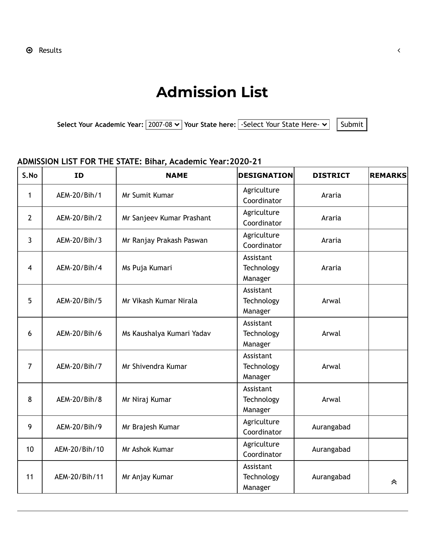## **Admission List**

Select Your Academic Year:  $\boxed{2007-08 \vee}$  Your State here: Select Your State Here-  $\vee$  Submit

## **ADMISSION LIST FOR THE STATE: Bihar, Academic Year:2020-21**

| S.No           | <b>ID</b>     | <b>NAME</b>               | <b>DESIGNATION</b>                 | <b>DISTRICT</b> | <b>REMARKS</b> |
|----------------|---------------|---------------------------|------------------------------------|-----------------|----------------|
| 1              | AEM-20/Bih/1  | Mr Sumit Kumar            | Agriculture<br>Coordinator         | Araria          |                |
| 2              | AEM-20/Bih/2  | Mr Sanjeev Kumar Prashant | Agriculture<br>Coordinator         | Araria          |                |
| 3              | AEM-20/Bih/3  | Mr Ranjay Prakash Paswan  | Agriculture<br>Coordinator         | Araria          |                |
| 4              | AEM-20/Bih/4  | Ms Puja Kumari            | Assistant<br>Technology<br>Manager | Araria          |                |
| 5              | AEM-20/Bih/5  | Mr Vikash Kumar Nirala    | Assistant<br>Technology<br>Manager | Arwal           |                |
| 6              | AEM-20/Bih/6  | Ms Kaushalya Kumari Yadav | Assistant<br>Technology<br>Manager | Arwal           |                |
| $\overline{7}$ | AEM-20/Bih/7  | Mr Shivendra Kumar        | Assistant<br>Technology<br>Manager | Arwal           |                |
| 8              | AEM-20/Bih/8  | Mr Niraj Kumar            | Assistant<br>Technology<br>Manager | Arwal           |                |
| 9              | AEM-20/Bih/9  | Mr Brajesh Kumar          | Agriculture<br>Coordinator         | Aurangabad      |                |
| 10             | AEM-20/Bih/10 | Mr Ashok Kumar            | Agriculture<br>Coordinator         | Aurangabad      |                |
| 11             | AEM-20/Bih/11 | Mr Anjay Kumar            | Assistant<br>Technology<br>Manager | Aurangabad      | 仌              |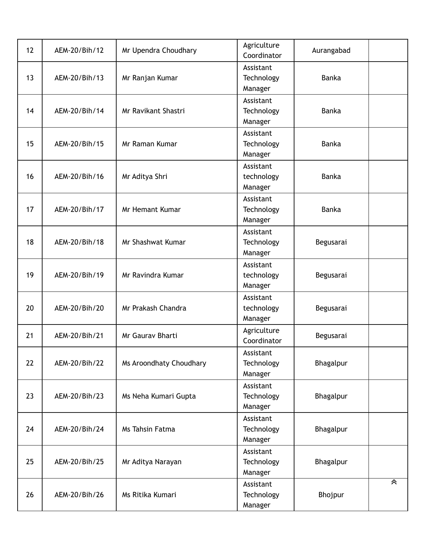| 12 | AEM-20/Bih/12 | Mr Upendra Choudhary    | Agriculture<br>Coordinator         | Aurangabad   |   |
|----|---------------|-------------------------|------------------------------------|--------------|---|
| 13 | AEM-20/Bih/13 | Mr Ranjan Kumar         | Assistant<br>Technology<br>Manager | <b>Banka</b> |   |
| 14 | AEM-20/Bih/14 | Mr Ravikant Shastri     | Assistant<br>Technology<br>Manager | Banka        |   |
| 15 | AEM-20/Bih/15 | Mr Raman Kumar          | Assistant<br>Technology<br>Manager | <b>Banka</b> |   |
| 16 | AEM-20/Bih/16 | Mr Aditya Shri          | Assistant<br>technology<br>Manager | Banka        |   |
| 17 | AEM-20/Bih/17 | <b>Mr Hemant Kumar</b>  | Assistant<br>Technology<br>Manager | <b>Banka</b> |   |
| 18 | AEM-20/Bih/18 | Mr Shashwat Kumar       | Assistant<br>Technology<br>Manager | Begusarai    |   |
| 19 | AEM-20/Bih/19 | Mr Ravindra Kumar       | Assistant<br>technology<br>Manager | Begusarai    |   |
| 20 | AEM-20/Bih/20 | Mr Prakash Chandra      | Assistant<br>technology<br>Manager | Begusarai    |   |
| 21 | AEM-20/Bih/21 | Mr Gaurav Bharti        | Agriculture<br>Coordinator         | Begusarai    |   |
| 22 | AEM-20/Bih/22 | Ms Aroondhaty Choudhary | Assistant<br>Technology<br>Manager | Bhagalpur    |   |
| 23 | AEM-20/Bih/23 | Ms Neha Kumari Gupta    | Assistant<br>Technology<br>Manager | Bhagalpur    |   |
| 24 | AEM-20/Bih/24 | Ms Tahsin Fatma         | Assistant<br>Technology<br>Manager | Bhagalpur    |   |
| 25 | AEM-20/Bih/25 | Mr Aditya Narayan       | Assistant<br>Technology<br>Manager | Bhagalpur    |   |
| 26 | AEM-20/Bih/26 | Ms Ritika Kumari        | Assistant<br>Technology<br>Manager | Bhojpur      | 《 |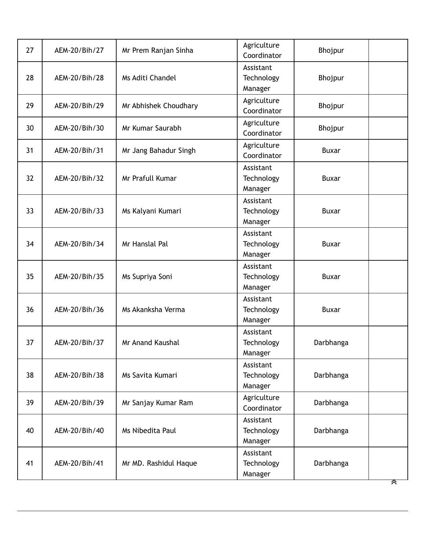| 27 | AEM-20/Bih/27 | Mr Prem Ranjan Sinha    | Agriculture<br>Coordinator         | Bhojpur      |   |
|----|---------------|-------------------------|------------------------------------|--------------|---|
| 28 | AEM-20/Bih/28 | Ms Aditi Chandel        | Assistant<br>Technology<br>Manager | Bhojpur      |   |
| 29 | AEM-20/Bih/29 | Mr Abhishek Choudhary   | Agriculture<br>Coordinator         | Bhojpur      |   |
| 30 | AEM-20/Bih/30 | Mr Kumar Saurabh        | Agriculture<br>Coordinator         | Bhojpur      |   |
| 31 | AEM-20/Bih/31 | Mr Jang Bahadur Singh   | Agriculture<br>Coordinator         | <b>Buxar</b> |   |
| 32 | AEM-20/Bih/32 | Mr Prafull Kumar        | Assistant<br>Technology<br>Manager | <b>Buxar</b> |   |
| 33 | AEM-20/Bih/33 | Ms Kalyani Kumari       | Assistant<br>Technology<br>Manager | <b>Buxar</b> |   |
| 34 | AEM-20/Bih/34 | Mr Hanslal Pal          | Assistant<br>Technology<br>Manager | <b>Buxar</b> |   |
| 35 | AEM-20/Bih/35 | Ms Supriya Soni         | Assistant<br>Technology<br>Manager | <b>Buxar</b> |   |
| 36 | AEM-20/Bih/36 | Ms Akanksha Verma       | Assistant<br>Technology<br>Manager | <b>Buxar</b> |   |
| 37 | AEM-20/Bih/37 | <b>Mr Anand Kaushal</b> | Assistant<br>Technology<br>Manager | Darbhanga    |   |
| 38 | AEM-20/Bih/38 | Ms Savita Kumari        | Assistant<br>Technology<br>Manager | Darbhanga    |   |
| 39 | AEM-20/Bih/39 | Mr Sanjay Kumar Ram     | Agriculture<br>Coordinator         | Darbhanga    |   |
| 40 | AEM-20/Bih/40 | Ms Nibedita Paul        | Assistant<br>Technology<br>Manager | Darbhanga    |   |
| 41 | AEM-20/Bih/41 | Mr MD. Rashidul Haque   | Assistant<br>Technology<br>Manager | Darbhanga    | ☎ |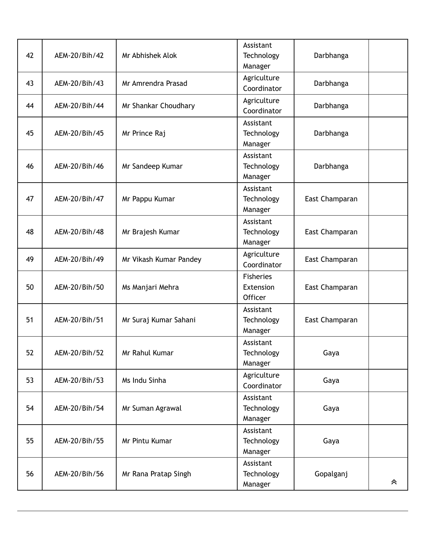| 42 | AEM-20/Bih/42 | Mr Abhishek Alok       | Assistant<br>Technology<br>Manager       | Darbhanga      |   |
|----|---------------|------------------------|------------------------------------------|----------------|---|
| 43 | AEM-20/Bih/43 | Mr Amrendra Prasad     | Agriculture<br>Coordinator               | Darbhanga      |   |
| 44 | AEM-20/Bih/44 | Mr Shankar Choudhary   | Agriculture<br>Coordinator               | Darbhanga      |   |
| 45 | AEM-20/Bih/45 | Mr Prince Raj          | Assistant<br>Technology<br>Manager       | Darbhanga      |   |
| 46 | AEM-20/Bih/46 | Mr Sandeep Kumar       | Assistant<br>Technology<br>Manager       | Darbhanga      |   |
| 47 | AEM-20/Bih/47 | Mr Pappu Kumar         | Assistant<br>Technology<br>Manager       | East Champaran |   |
| 48 | AEM-20/Bih/48 | Mr Brajesh Kumar       | Assistant<br>Technology<br>Manager       | East Champaran |   |
| 49 | AEM-20/Bih/49 | Mr Vikash Kumar Pandey | Agriculture<br>Coordinator               | East Champaran |   |
| 50 | AEM-20/Bih/50 | Ms Manjari Mehra       | <b>Fisheries</b><br>Extension<br>Officer | East Champaran |   |
| 51 | AEM-20/Bih/51 | Mr Suraj Kumar Sahani  | Assistant<br>Technology<br>Manager       | East Champaran |   |
| 52 | AEM-20/Bih/52 | Mr Rahul Kumar         | Assistant<br>Technology<br>Manager       | Gaya           |   |
| 53 | AEM-20/Bih/53 | Ms Indu Sinha          | Agriculture<br>Coordinator               | Gaya           |   |
| 54 | AEM-20/Bih/54 | Mr Suman Agrawal       | Assistant<br>Technology<br>Manager       | Gaya           |   |
| 55 | AEM-20/Bih/55 | Mr Pintu Kumar         | Assistant<br>Technology<br>Manager       | Gaya           |   |
| 56 | AEM-20/Bih/56 | Mr Rana Pratap Singh   | Assistant<br>Technology<br>Manager       | Gopalganj      | 《 |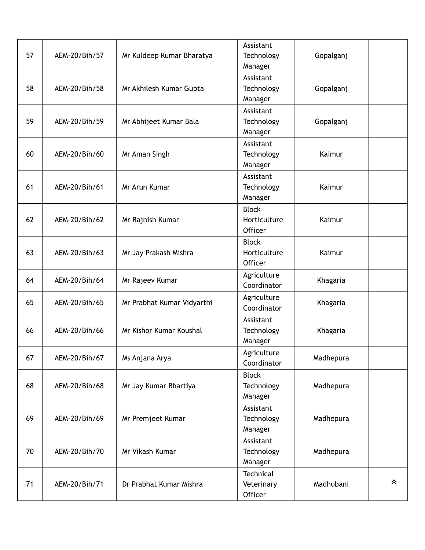| 57 | AEM-20/Bih/57 | Mr Kuldeep Kumar Bharatya  | Assistant<br>Technology<br>Manager      | Gopalganj |   |
|----|---------------|----------------------------|-----------------------------------------|-----------|---|
| 58 | AEM-20/Bih/58 | Mr Akhilesh Kumar Gupta    | Assistant<br>Technology<br>Manager      | Gopalganj |   |
| 59 | AEM-20/Bih/59 | Mr Abhijeet Kumar Bala     | Assistant<br>Technology<br>Manager      | Gopalganj |   |
| 60 | AEM-20/Bih/60 | Mr Aman Singh              | Assistant<br>Technology<br>Manager      | Kaimur    |   |
| 61 | AEM-20/Bih/61 | Mr Arun Kumar              | Assistant<br>Technology<br>Manager      | Kaimur    |   |
| 62 | AEM-20/Bih/62 | Mr Rajnish Kumar           | <b>Block</b><br>Horticulture<br>Officer | Kaimur    |   |
| 63 | AEM-20/Bih/63 | Mr Jay Prakash Mishra      | <b>Block</b><br>Horticulture<br>Officer | Kaimur    |   |
| 64 | AEM-20/Bih/64 | Mr Rajeev Kumar            | Agriculture<br>Coordinator              | Khagaria  |   |
| 65 | AEM-20/Bih/65 | Mr Prabhat Kumar Vidyarthi | Agriculture<br>Coordinator              | Khagaria  |   |
| 66 | AEM-20/Bih/66 | Mr Kishor Kumar Koushal    | Assistant<br>Technology<br>Manager      | Khagaria  |   |
| 67 | AEM-20/Bih/67 | Ms Anjana Arya             | Agriculture<br>Coordinator              | Madhepura |   |
| 68 | AEM-20/Bih/68 | Mr Jay Kumar Bhartiya      | <b>Block</b><br>Technology<br>Manager   | Madhepura |   |
| 69 | AEM-20/Bih/69 | Mr Premjeet Kumar          | Assistant<br>Technology<br>Manager      | Madhepura |   |
| 70 | AEM-20/Bih/70 | Mr Vikash Kumar            | Assistant<br>Technology<br>Manager      | Madhepura |   |
| 71 | AEM-20/Bih/71 | Dr Prabhat Kumar Mishra    | Technical<br>Veterinary<br>Officer      | Madhubani | 《 |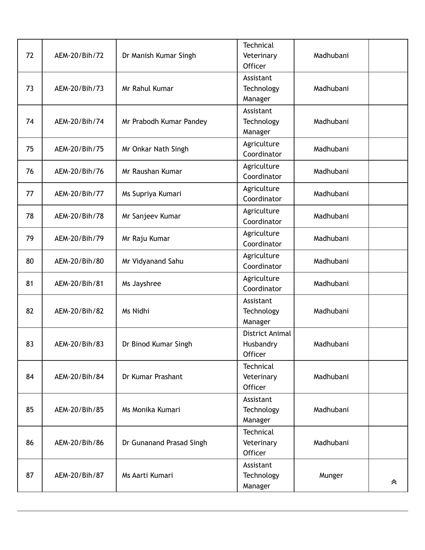|    |               |                          | <b>Technical</b>        |           |   |
|----|---------------|--------------------------|-------------------------|-----------|---|
| 72 | AEM-20/Bih/72 | Dr Manish Kumar Singh    | Veterinary<br>Officer   | Madhubani |   |
|    |               |                          | Assistant               |           |   |
| 73 | AEM-20/Bih/73 | Mr Rahul Kumar           | Technology              | Madhubani |   |
|    |               |                          | Manager                 |           |   |
|    |               |                          | Assistant               |           |   |
| 74 | AEM-20/Bih/74 | Mr Prabodh Kumar Pandey  | Technology              | Madhubani |   |
|    |               |                          | Manager                 |           |   |
|    |               |                          | Agriculture             |           |   |
| 75 | AEM-20/Bih/75 | Mr Onkar Nath Singh      | Coordinator             | Madhubani |   |
| 76 | AEM-20/Bih/76 | Mr Raushan Kumar         | Agriculture             | Madhubani |   |
|    |               |                          | Coordinator             |           |   |
| 77 | AEM-20/Bih/77 | Ms Supriya Kumari        | Agriculture             | Madhubani |   |
|    |               |                          | Coordinator             |           |   |
| 78 | AEM-20/Bih/78 | Mr Sanjeev Kumar         | Agriculture             | Madhubani |   |
|    |               |                          | Coordinator             |           |   |
| 79 | AEM-20/Bih/79 | Mr Raju Kumar            | Agriculture             | Madhubani |   |
|    |               |                          | Coordinator             |           |   |
| 80 | AEM-20/Bih/80 | Mr Vidyanand Sahu        | Agriculture             | Madhubani |   |
|    |               |                          | Coordinator             |           |   |
| 81 | AEM-20/Bih/81 | Ms Jayshree              | Agriculture             | Madhubani |   |
|    |               |                          | Coordinator             |           |   |
| 82 | AEM-20/Bih/82 | Ms Nidhi                 | Assistant<br>Technology | Madhubani |   |
|    |               |                          | Manager                 |           |   |
|    |               |                          | District Animal         |           |   |
| 83 | AEM-20/Bih/83 | Dr Binod Kumar Singh     | Husbandry               | Madhubani |   |
|    |               |                          | Officer                 |           |   |
|    |               |                          | Technical               |           |   |
| 84 | AEM-20/Bih/84 | Dr Kumar Prashant        | Veterinary              | Madhubani |   |
|    |               |                          | Officer                 |           |   |
|    |               |                          | Assistant               |           |   |
| 85 | AEM-20/Bih/85 | Ms Monika Kumari         | Technology              | Madhubani |   |
|    |               |                          | Manager                 |           |   |
|    |               |                          | Technical               |           |   |
| 86 | AEM-20/Bih/86 | Dr Gunanand Prasad Singh | Veterinary              | Madhubani |   |
|    |               |                          | Officer                 |           |   |
| 87 | AEM-20/Bih/87 | Ms Aarti Kumari          | Assistant               |           |   |
|    |               |                          | Technology<br>Manager   | Munger    | 《 |
|    |               |                          |                         |           |   |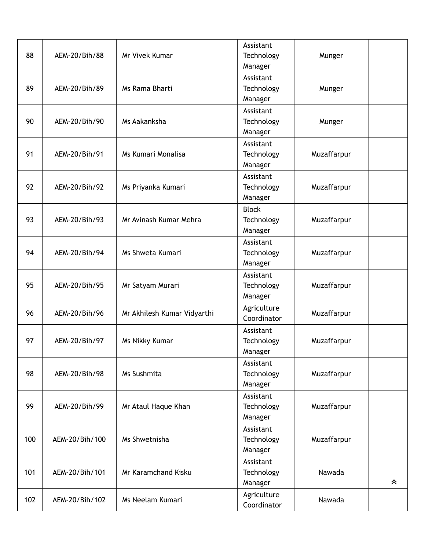| 88  | AEM-20/Bih/88  | Mr Vivek Kumar              | Assistant<br>Technology | Munger      |   |
|-----|----------------|-----------------------------|-------------------------|-------------|---|
|     |                |                             | Manager                 |             |   |
|     |                |                             | Assistant               |             |   |
| 89  | AEM-20/Bih/89  | Ms Rama Bharti              | Technology              | Munger      |   |
|     |                |                             | Manager                 |             |   |
| 90  |                |                             | Assistant               |             |   |
|     | AEM-20/Bih/90  | Ms Aakanksha                | Technology<br>Manager   | Munger      |   |
|     |                |                             | Assistant               |             |   |
| 91  | AEM-20/Bih/91  | Ms Kumari Monalisa          | Technology              | Muzaffarpur |   |
|     |                |                             | Manager                 |             |   |
|     |                |                             | Assistant               |             |   |
| 92  | AEM-20/Bih/92  | Ms Priyanka Kumari          | Technology              | Muzaffarpur |   |
|     |                |                             | Manager                 |             |   |
|     |                |                             | <b>Block</b>            |             |   |
| 93  | AEM-20/Bih/93  | Mr Avinash Kumar Mehra      | Technology              | Muzaffarpur |   |
|     |                |                             | Manager                 |             |   |
|     |                |                             | Assistant               |             |   |
| 94  | AEM-20/Bih/94  | Ms Shweta Kumari            | Technology              | Muzaffarpur |   |
|     |                |                             | Manager                 |             |   |
|     |                |                             | Assistant               |             |   |
| 95  | AEM-20/Bih/95  | Mr Satyam Murari            | Technology              | Muzaffarpur |   |
|     |                |                             | Manager                 |             |   |
|     |                |                             | Agriculture             |             |   |
| 96  | AEM-20/Bih/96  | Mr Akhilesh Kumar Vidyarthi | Coordinator             | Muzaffarpur |   |
|     |                |                             | Assistant               |             |   |
| 97  | AEM-20/Bih/97  | Ms Nikky Kumar              | Technology              | Muzaffarpur |   |
|     |                |                             | Manager                 |             |   |
|     |                |                             | Assistant               |             |   |
| 98  | AEM-20/Bih/98  | Ms Sushmita                 | Technology              | Muzaffarpur |   |
|     |                |                             | Manager                 |             |   |
|     |                |                             | Assistant               |             |   |
| 99  | AEM-20/Bih/99  | Mr Ataul Haque Khan         | Technology              | Muzaffarpur |   |
|     |                |                             | Manager                 |             |   |
|     |                |                             | Assistant               |             |   |
| 100 | AEM-20/Bih/100 | Ms Shwetnisha               | Technology              | Muzaffarpur |   |
|     |                |                             | Manager                 |             |   |
|     |                |                             | Assistant               |             |   |
| 101 | AEM-20/Bih/101 | Mr Karamchand Kisku         | Technology              | Nawada      |   |
|     |                |                             | Manager                 |             | 《 |
| 102 | AEM-20/Bih/102 | Ms Neelam Kumari            | Agriculture             | Nawada      |   |
|     |                |                             | Coordinator             |             |   |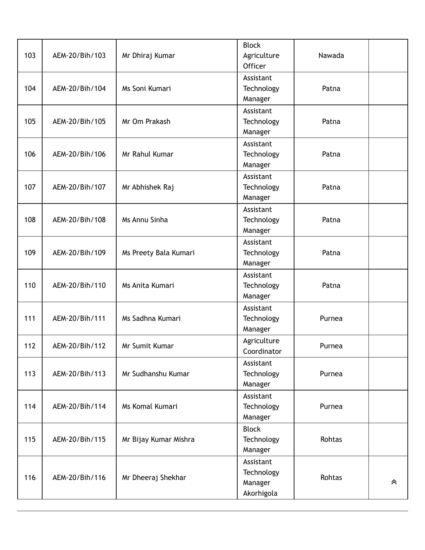| <b>Block</b><br>103<br>AEM-20/Bih/103<br>Nawada<br>Mr Dhiraj Kumar<br>Agriculture<br>Officer<br>Assistant<br>AEM-20/Bih/104<br>Ms Soni Kumari<br>104<br>Technology<br>Patna<br>Manager<br>Assistant<br>105<br>AEM-20/Bih/105<br>Mr Om Prakash<br>Technology<br>Patna<br>Manager<br>Assistant<br>106<br>AEM-20/Bih/106<br>Mr Rahul Kumar<br>Technology<br>Patna<br>Manager<br>Assistant |  |  |  |  |
|----------------------------------------------------------------------------------------------------------------------------------------------------------------------------------------------------------------------------------------------------------------------------------------------------------------------------------------------------------------------------------------|--|--|--|--|
|                                                                                                                                                                                                                                                                                                                                                                                        |  |  |  |  |
|                                                                                                                                                                                                                                                                                                                                                                                        |  |  |  |  |
|                                                                                                                                                                                                                                                                                                                                                                                        |  |  |  |  |
|                                                                                                                                                                                                                                                                                                                                                                                        |  |  |  |  |
|                                                                                                                                                                                                                                                                                                                                                                                        |  |  |  |  |
|                                                                                                                                                                                                                                                                                                                                                                                        |  |  |  |  |
|                                                                                                                                                                                                                                                                                                                                                                                        |  |  |  |  |
|                                                                                                                                                                                                                                                                                                                                                                                        |  |  |  |  |
|                                                                                                                                                                                                                                                                                                                                                                                        |  |  |  |  |
|                                                                                                                                                                                                                                                                                                                                                                                        |  |  |  |  |
|                                                                                                                                                                                                                                                                                                                                                                                        |  |  |  |  |
|                                                                                                                                                                                                                                                                                                                                                                                        |  |  |  |  |
| 107<br>AEM-20/Bih/107<br>Mr Abhishek Raj<br>Technology<br>Patna                                                                                                                                                                                                                                                                                                                        |  |  |  |  |
| Manager                                                                                                                                                                                                                                                                                                                                                                                |  |  |  |  |
| Assistant                                                                                                                                                                                                                                                                                                                                                                              |  |  |  |  |
| 108<br>Ms Annu Sinha<br>AEM-20/Bih/108<br>Technology<br>Patna                                                                                                                                                                                                                                                                                                                          |  |  |  |  |
| Manager                                                                                                                                                                                                                                                                                                                                                                                |  |  |  |  |
| Assistant                                                                                                                                                                                                                                                                                                                                                                              |  |  |  |  |
| 109<br>AEM-20/Bih/109<br>Ms Preety Bala Kumari<br>Technology<br>Patna                                                                                                                                                                                                                                                                                                                  |  |  |  |  |
| Manager                                                                                                                                                                                                                                                                                                                                                                                |  |  |  |  |
| Assistant                                                                                                                                                                                                                                                                                                                                                                              |  |  |  |  |
| 110<br>AEM-20/Bih/110<br>Ms Anita Kumari<br>Technology<br>Patna                                                                                                                                                                                                                                                                                                                        |  |  |  |  |
| Manager                                                                                                                                                                                                                                                                                                                                                                                |  |  |  |  |
| Assistant                                                                                                                                                                                                                                                                                                                                                                              |  |  |  |  |
| AEM-20/Bih/111<br>111<br>Ms Sadhna Kumari<br>Technology<br>Purnea                                                                                                                                                                                                                                                                                                                      |  |  |  |  |
| Manager                                                                                                                                                                                                                                                                                                                                                                                |  |  |  |  |
| Agriculture<br>112<br>Mr Sumit Kumar                                                                                                                                                                                                                                                                                                                                                   |  |  |  |  |
| AEM-20/Bih/112<br>Purnea<br>Coordinator                                                                                                                                                                                                                                                                                                                                                |  |  |  |  |
| Assistant                                                                                                                                                                                                                                                                                                                                                                              |  |  |  |  |
| 113<br>Mr Sudhanshu Kumar<br>Technology<br>AEM-20/Bih/113<br>Purnea                                                                                                                                                                                                                                                                                                                    |  |  |  |  |
| Manager                                                                                                                                                                                                                                                                                                                                                                                |  |  |  |  |
| Assistant                                                                                                                                                                                                                                                                                                                                                                              |  |  |  |  |
| 114<br>Ms Komal Kumari<br>Technology<br>AEM-20/Bih/114<br>Purnea                                                                                                                                                                                                                                                                                                                       |  |  |  |  |
| Manager                                                                                                                                                                                                                                                                                                                                                                                |  |  |  |  |
| <b>Block</b>                                                                                                                                                                                                                                                                                                                                                                           |  |  |  |  |
| 115<br>Technology<br>AEM-20/Bih/115<br>Mr Bijay Kumar Mishra<br>Rohtas                                                                                                                                                                                                                                                                                                                 |  |  |  |  |
| Manager                                                                                                                                                                                                                                                                                                                                                                                |  |  |  |  |
| Assistant                                                                                                                                                                                                                                                                                                                                                                              |  |  |  |  |
| Technology<br>AEM-20/Bih/116<br>116<br>Mr Dheeraj Shekhar<br>Rohtas                                                                                                                                                                                                                                                                                                                    |  |  |  |  |
| Manager<br>《                                                                                                                                                                                                                                                                                                                                                                           |  |  |  |  |
| Akorhigola                                                                                                                                                                                                                                                                                                                                                                             |  |  |  |  |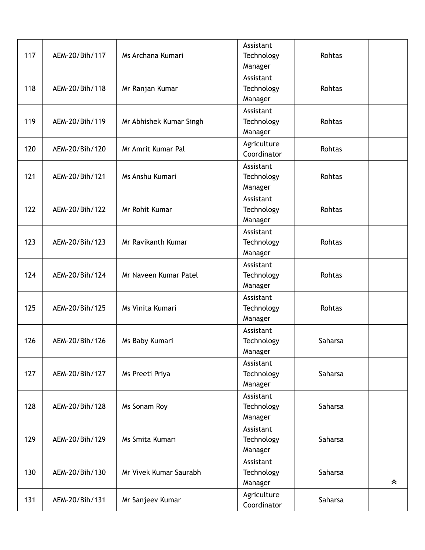| 117 | AEM-20/Bih/117 | Ms Archana Kumari       | Assistant<br>Technology<br>Manager | Rohtas  |   |
|-----|----------------|-------------------------|------------------------------------|---------|---|
| 118 | AEM-20/Bih/118 | Mr Ranjan Kumar         | Assistant<br>Technology<br>Manager | Rohtas  |   |
| 119 | AEM-20/Bih/119 | Mr Abhishek Kumar Singh | Assistant<br>Technology<br>Manager | Rohtas  |   |
| 120 | AEM-20/Bih/120 | Mr Amrit Kumar Pal      | Agriculture<br>Coordinator         | Rohtas  |   |
| 121 | AEM-20/Bih/121 | Ms Anshu Kumari         | Assistant<br>Technology<br>Manager | Rohtas  |   |
| 122 | AEM-20/Bih/122 | Mr Rohit Kumar          | Assistant<br>Technology<br>Manager | Rohtas  |   |
| 123 | AEM-20/Bih/123 | Mr Ravikanth Kumar      | Assistant<br>Technology<br>Manager | Rohtas  |   |
| 124 | AEM-20/Bih/124 | Mr Naveen Kumar Patel   | Assistant<br>Technology<br>Manager | Rohtas  |   |
| 125 | AEM-20/Bih/125 | Ms Vinita Kumari        | Assistant<br>Technology<br>Manager | Rohtas  |   |
| 126 | AEM-20/Bih/126 | Ms Baby Kumari          | Assistant<br>Technology<br>Manager | Saharsa |   |
| 127 | AEM-20/Bih/127 | Ms Preeti Priya         | Assistant<br>Technology<br>Manager | Saharsa |   |
| 128 | AEM-20/Bih/128 | Ms Sonam Roy            | Assistant<br>Technology<br>Manager | Saharsa |   |
| 129 | AEM-20/Bih/129 | Ms Smita Kumari         | Assistant<br>Technology<br>Manager | Saharsa |   |
| 130 | AEM-20/Bih/130 | Mr Vivek Kumar Saurabh  | Assistant<br>Technology<br>Manager | Saharsa | 《 |
| 131 | AEM-20/Bih/131 | Mr Sanjeev Kumar        | Agriculture<br>Coordinator         | Saharsa |   |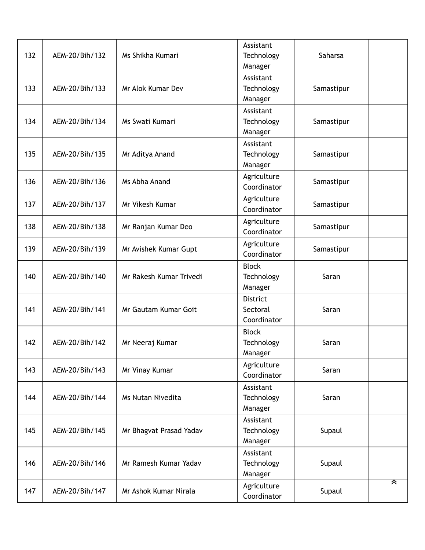| 132 | AEM-20/Bih/132 | Ms Shikha Kumari        | Assistant<br>Technology<br>Manager         | Saharsa    |   |
|-----|----------------|-------------------------|--------------------------------------------|------------|---|
| 133 | AEM-20/Bih/133 | Mr Alok Kumar Dev       | Assistant<br>Technology<br>Manager         | Samastipur |   |
| 134 | AEM-20/Bih/134 | Ms Swati Kumari         | Assistant<br>Technology<br>Manager         | Samastipur |   |
| 135 | AEM-20/Bih/135 | Mr Aditya Anand         | Assistant<br>Technology<br>Manager         | Samastipur |   |
| 136 | AEM-20/Bih/136 | Ms Abha Anand           | Agriculture<br>Coordinator                 | Samastipur |   |
| 137 | AEM-20/Bih/137 | Mr Vikesh Kumar         | Agriculture<br>Coordinator                 | Samastipur |   |
| 138 | AEM-20/Bih/138 | Mr Ranjan Kumar Deo     | Agriculture<br>Coordinator                 | Samastipur |   |
| 139 | AEM-20/Bih/139 | Mr Avishek Kumar Gupt   | Agriculture<br>Coordinator                 | Samastipur |   |
| 140 | AEM-20/Bih/140 | Mr Rakesh Kumar Trivedi | <b>Block</b><br>Technology<br>Manager      | Saran      |   |
| 141 | AEM-20/Bih/141 | Mr Gautam Kumar Goit    | <b>District</b><br>Sectoral<br>Coordinator | Saran      |   |
| 142 | AEM-20/Bih/142 | Mr Neeraj Kumar         | <b>Block</b><br>Technology<br>Manager      | Saran      |   |
| 143 | AEM-20/Bih/143 | Mr Vinay Kumar          | Agriculture<br>Coordinator                 | Saran      |   |
| 144 | AEM-20/Bih/144 | Ms Nutan Nivedita       | Assistant<br>Technology<br>Manager         | Saran      |   |
| 145 | AEM-20/Bih/145 | Mr Bhagvat Prasad Yadav | Assistant<br>Technology<br>Manager         | Supaul     |   |
| 146 | AEM-20/Bih/146 | Mr Ramesh Kumar Yadav   | Assistant<br>Technology<br>Manager         | Supaul     |   |
| 147 | AEM-20/Bih/147 | Mr Ashok Kumar Nirala   | Agriculture<br>Coordinator                 | Supaul     | ᄌ |